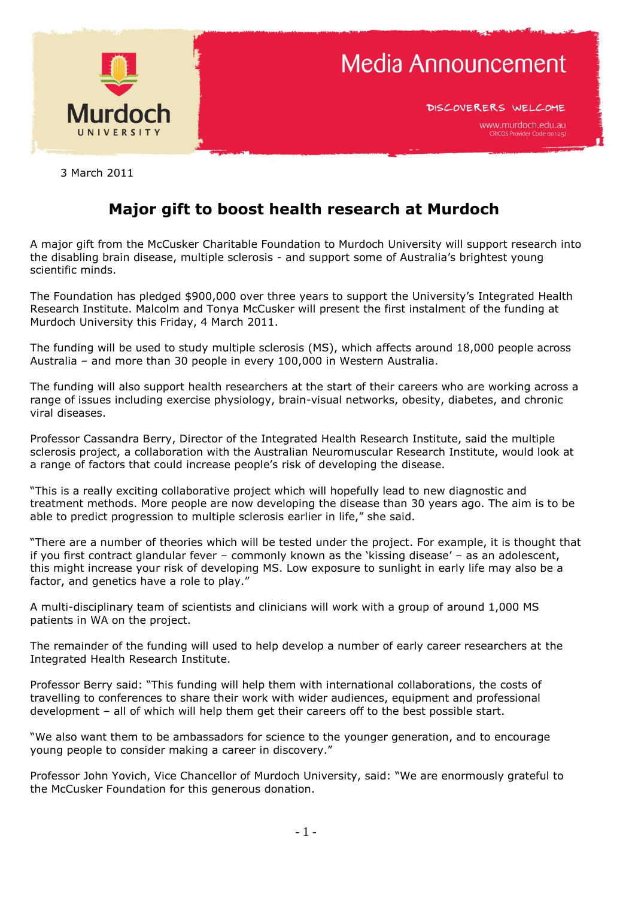

DISCOVERERS WELCOME

3 March 2011

## **Major gift to boost health research at Murdoch**

A major gift from the McCusker Charitable Foundation to Murdoch University will support research into the disabling brain disease, multiple sclerosis - and support some of Australia"s brightest young scientific minds.

The Foundation has pledged \$900,000 over three years to support the University"s Integrated Health Research Institute. Malcolm and Tonya McCusker will present the first instalment of the funding at Murdoch University this Friday, 4 March 2011.

The funding will be used to study multiple sclerosis (MS), which affects around 18,000 people across Australia – and more than 30 people in every 100,000 in Western Australia.

The funding will also support health researchers at the start of their careers who are working across a range of issues including exercise physiology, brain-visual networks, obesity, diabetes, and chronic viral diseases.

Professor Cassandra Berry, Director of the Integrated Health Research Institute, said the multiple sclerosis project, a collaboration with the Australian Neuromuscular Research Institute, would look at a range of factors that could increase people"s risk of developing the disease.

"This is a really exciting collaborative project which will hopefully lead to new diagnostic and treatment methods. More people are now developing the disease than 30 years ago. The aim is to be able to predict progression to multiple sclerosis earlier in life," she said.

"There are a number of theories which will be tested under the project. For example, it is thought that if you first contract glandular fever – commonly known as the "kissing disease" – as an adolescent, this might increase your risk of developing MS. Low exposure to sunlight in early life may also be a factor, and genetics have a role to play."

A multi-disciplinary team of scientists and clinicians will work with a group of around 1,000 MS patients in WA on the project.

The remainder of the funding will used to help develop a number of early career researchers at the Integrated Health Research Institute.

Professor Berry said: "This funding will help them with international collaborations, the costs of travelling to conferences to share their work with wider audiences, equipment and professional development – all of which will help them get their careers off to the best possible start.

"We also want them to be ambassadors for science to the younger generation, and to encourage young people to consider making a career in discovery."

Professor John Yovich, Vice Chancellor of Murdoch University, said: "We are enormously grateful to the McCusker Foundation for this generous donation.